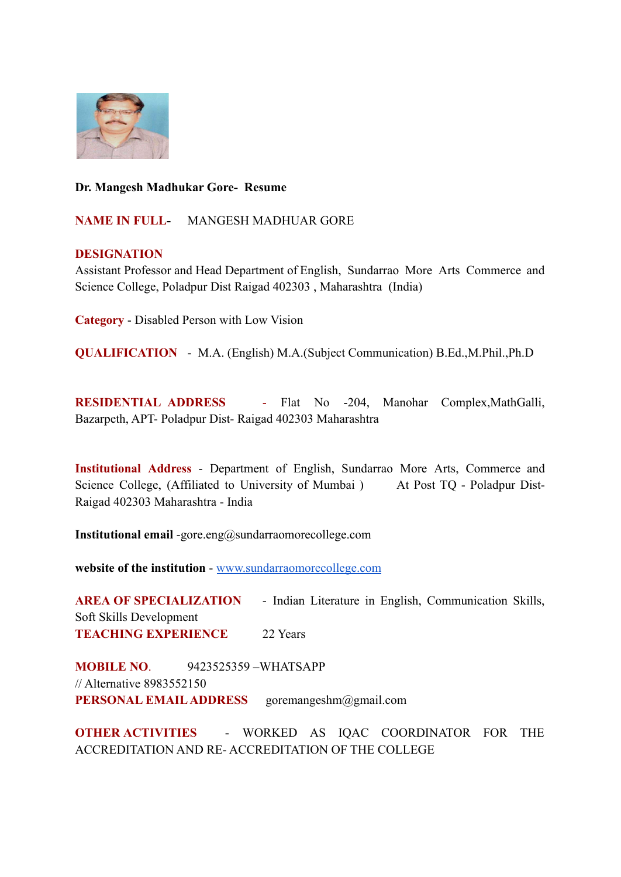

## **Dr. Mangesh Madhukar Gore- Resume**

**NAME IN FULL-** MANGESH MADHUAR GORE

## **DESIGNATION**

Assistant Professor and Head Department of English, Sundarrao More Arts Commerce and Science College, Poladpur Dist Raigad 402303 , Maharashtra (India)

**Category** - Disabled Person with Low Vision

**QUALIFICATION** - M.A. (English) M.A.(Subject Communication) B.Ed.,M.Phil.,Ph.D

**RESIDENTIAL ADDRESS** - Flat No -204, Manohar Complex,MathGalli, Bazarpeth, APT- Poladpur Dist- Raigad 402303 Maharashtra

**Institutional Address** - Department of English, Sundarrao More Arts, Commerce and Science College, (Affiliated to University of Mumbai) At Post TQ - Poladpur Dist-Raigad 402303 Maharashtra - India

**Institutional email** -gore.eng@sundarraomorecollege.com

**website of the institution** - [www.sundarraomorecollege.com](http://www.sundarraomorecollege.com)

**AREA OF SPECIALIZATION** - Indian Literature in English, Communication Skills, Soft Skills Development **TEACHING EXPERIENCE** 22 Years

**MOBILE NO**. 9423525359 –WHATSAPP // Alternative 8983552150 **PERSONAL EMAIL ADDRESS** goremangeshm@gmail.com

**OTHER ACTIVITIES** - WORKED AS IQAC COORDINATOR FOR THE ACCREDITATION AND RE- ACCREDITATION OF THE COLLEGE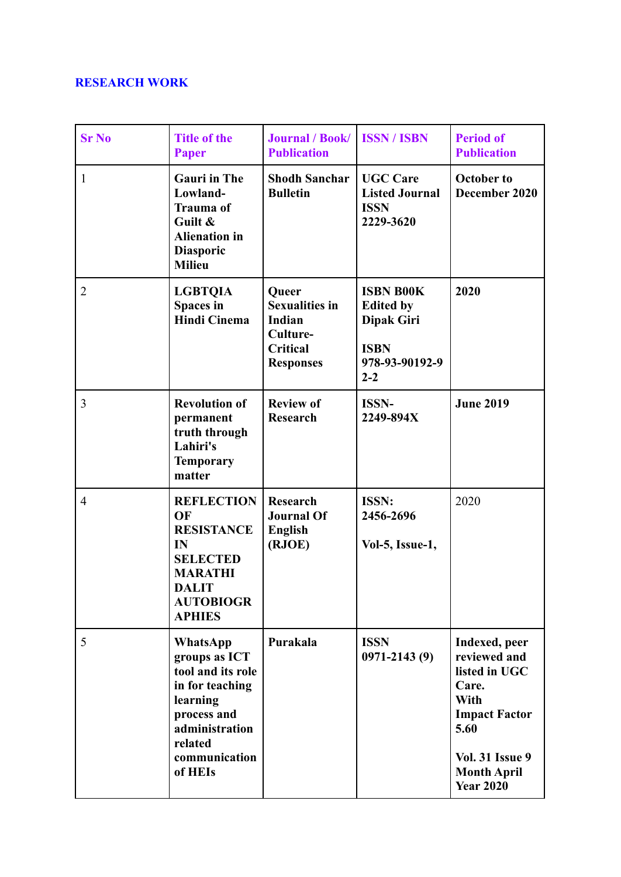# **RESEARCH WORK**

| <b>Sr No</b>   | <b>Title of the</b><br>Paper                                                                                                                          | <b>Journal / Book/</b><br><b>Publication</b>                                                | <b>ISSN/ISBN</b>                                                                               | <b>Period of</b><br><b>Publication</b>                                                                                                                              |
|----------------|-------------------------------------------------------------------------------------------------------------------------------------------------------|---------------------------------------------------------------------------------------------|------------------------------------------------------------------------------------------------|---------------------------------------------------------------------------------------------------------------------------------------------------------------------|
| $\mathbf{1}$   | <b>Gauri</b> in The<br>Lowland-<br><b>Trauma</b> of<br>Guilt &<br><b>Alienation</b> in<br><b>Diasporic</b><br><b>Milieu</b>                           | <b>Shodh Sanchar</b><br><b>Bulletin</b>                                                     | <b>UGC Care</b><br><b>Listed Journal</b><br><b>ISSN</b><br>2229-3620                           | <b>October to</b><br>December 2020                                                                                                                                  |
| $\overline{2}$ | <b>LGBTQIA</b><br>Spaces in<br><b>Hindi Cinema</b>                                                                                                    | Queer<br><b>Sexualities in</b><br>Indian<br>Culture-<br><b>Critical</b><br><b>Responses</b> | <b>ISBN B00K</b><br><b>Edited by</b><br>Dipak Giri<br><b>ISBN</b><br>978-93-90192-9<br>$2 - 2$ | 2020                                                                                                                                                                |
| 3              | <b>Revolution of</b><br>permanent<br>truth through<br>Lahiri's<br><b>Temporary</b><br>matter                                                          | <b>Review of</b><br><b>Research</b>                                                         | <b>ISSN-</b><br>2249-894X                                                                      | <b>June 2019</b>                                                                                                                                                    |
| $\overline{4}$ | <b>REFLECTION</b><br>OF<br><b>RESISTANCE</b><br>IN<br><b>SELECTED</b><br><b>MARATHI</b><br><b>DALIT</b><br><b>AUTOBIOGR</b><br><b>APHIES</b>          | <b>Research</b><br><b>Journal Of</b><br><b>English</b><br>(RJOE)                            | ISSN:<br>2456-2696<br>Vol-5, Issue-1,                                                          | 2020                                                                                                                                                                |
| 5              | WhatsApp<br>groups as ICT<br>tool and its role<br>in for teaching<br>learning<br>process and<br>administration<br>related<br>communication<br>of HEIs | Purakala                                                                                    | <b>ISSN</b><br>$0971 - 2143(9)$                                                                | Indexed, peer<br>reviewed and<br>listed in UGC<br>Care.<br>With<br><b>Impact Factor</b><br>5.60<br><b>Vol. 31 Issue 9</b><br><b>Month April</b><br><b>Year 2020</b> |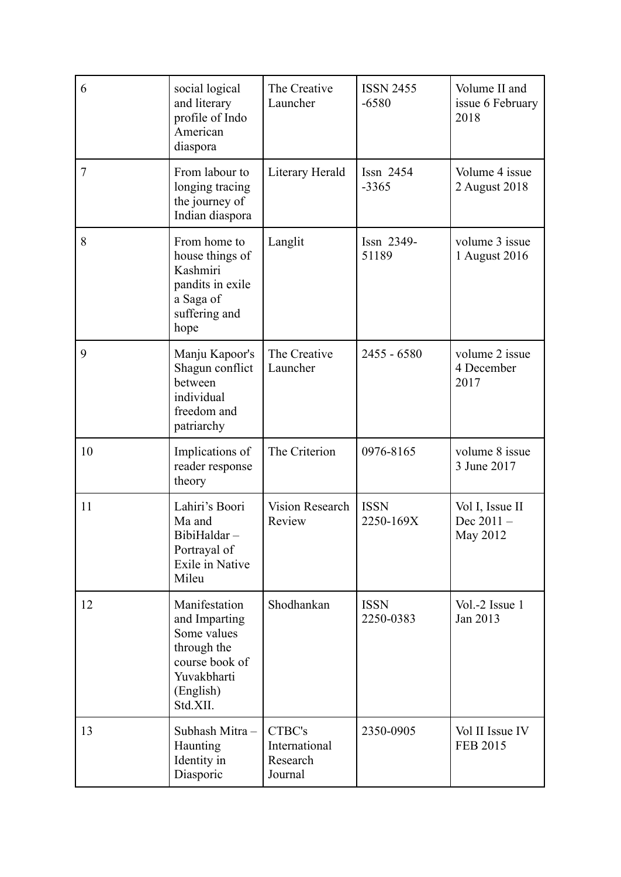| 6  | social logical<br>and literary<br>profile of Indo<br>American<br>diaspora                                              | The Creative<br>Launcher                       | <b>ISSN 2455</b><br>$-6580$ | Volume II and<br>issue 6 February<br>2018 |
|----|------------------------------------------------------------------------------------------------------------------------|------------------------------------------------|-----------------------------|-------------------------------------------|
| 7  | From labour to<br>longing tracing<br>the journey of<br>Indian diaspora                                                 | Literary Herald                                | Issn 2454<br>$-3365$        | Volume 4 issue<br>2 August 2018           |
| 8  | From home to<br>house things of<br>Kashmiri<br>pandits in exile<br>a Saga of<br>suffering and<br>hope                  | Langlit                                        | Issn 2349-<br>51189         | volume 3 issue<br>1 August 2016           |
| 9  | Manju Kapoor's<br>Shagun conflict<br>between<br>individual<br>freedom and<br>patriarchy                                | The Creative<br>Launcher                       | $2455 - 6580$               | volume 2 issue<br>4 December<br>2017      |
| 10 | Implications of<br>reader response<br>theory                                                                           | The Criterion                                  | 0976-8165                   | volume 8 issue<br>3 June 2017             |
| 11 | Lahiri's Boori<br>Ma and<br>BibiHaldar-<br>Portrayal of<br>Exile in Native<br>Mileu                                    | <b>Vision Research</b><br>Review               | <b>ISSN</b><br>2250-169X    | Vol I, Issue II<br>Dec 2011-<br>May 2012  |
| 12 | Manifestation<br>and Imparting<br>Some values<br>through the<br>course book of<br>Yuvakbharti<br>(English)<br>Std.XII. | Shodhankan                                     | <b>ISSN</b><br>2250-0383    | Vol.-2 Issue 1<br>Jan 2013                |
| 13 | Subhash Mitra-<br>Haunting<br>Identity in<br>Diasporic                                                                 | CTBC's<br>International<br>Research<br>Journal | 2350-0905                   | Vol II Issue IV<br><b>FEB 2015</b>        |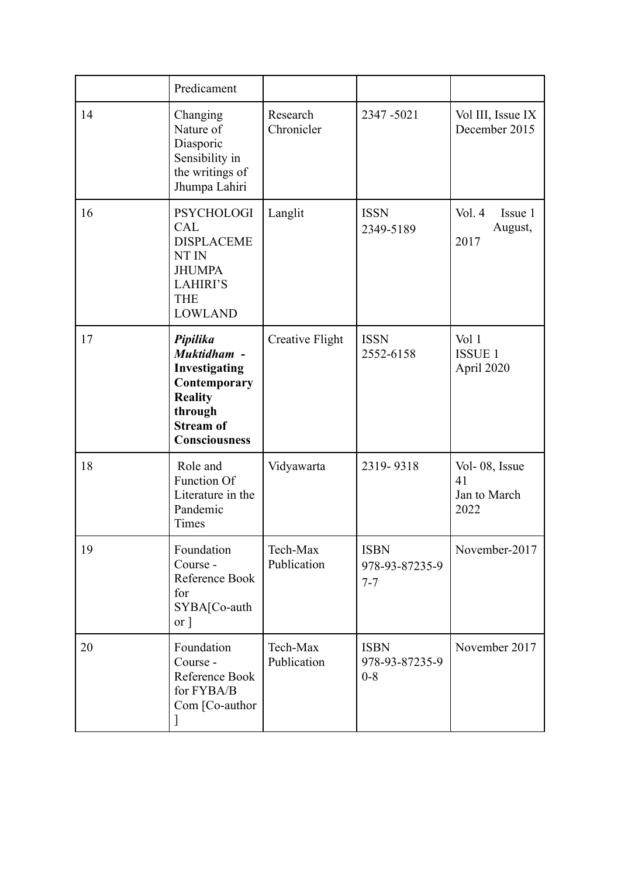|    | Predicament                                                                                                                       |                         |                                          |                                             |
|----|-----------------------------------------------------------------------------------------------------------------------------------|-------------------------|------------------------------------------|---------------------------------------------|
| 14 | Changing<br>Nature of<br>Diasporic<br>Sensibility in<br>the writings of<br>Jhumpa Lahiri                                          | Research<br>Chronicler  | 2347-5021                                | Vol III, Issue IX<br>December 2015          |
| 16 | <b>PSYCHOLOGI</b><br><b>CAL</b><br><b>DISPLACEME</b><br>NT IN<br><b>JHUMPA</b><br><b>LAHIRI'S</b><br><b>THE</b><br><b>LOWLAND</b> | Langlit                 | <b>ISSN</b><br>2349-5189                 | Vol. 4<br>Issue 1<br>August,<br>2017        |
| 17 | Pipilika<br>Muktidham -<br>Investigating<br>Contemporary<br><b>Reality</b><br>through<br><b>Stream of</b><br><b>Consciousness</b> | Creative Flight         | <b>ISSN</b><br>2552-6158                 | Vol 1<br><b>ISSUE 1</b><br>April 2020       |
| 18 | Role and<br><b>Function Of</b><br>Literature in the<br>Pandemic<br>Times                                                          | Vidyawarta              | 2319-9318                                | Vol-08, Issue<br>41<br>Jan to March<br>2022 |
| 19 | Foundation<br>Course -<br>Reference Book<br>for<br>SYBA[Co-auth<br>or <sup>1</sup>                                                | Tech-Max<br>Publication | <b>ISBN</b><br>978-93-87235-9<br>$7 - 7$ | November-2017                               |
| 20 | Foundation<br>Course -<br>Reference Book<br>for FYBA/B<br>Com [Co-author                                                          | Tech-Max<br>Publication | <b>ISBN</b><br>978-93-87235-9<br>$0 - 8$ | November 2017                               |